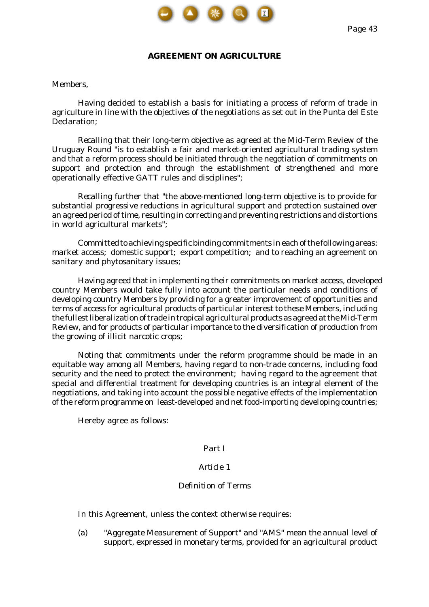

#### **AGREEMENT ON AGRICULTURE**

#### *Members,*

*Having decided* to establish a basis for initiating a process of reform of trade in agriculture in line with the objectives of the negotiations as set out in the Punta del Este Declaration;

*Recalling* that their long-term objective as agreed at the Mid-Term Review of the Uruguay Round "is to establish a fair and market-oriented agricultural trading system and that a reform process should be initiated through the negotiation of commitments on support and protection and through the establishment of strengthened and more operationally effective GATT rules and disciplines";

*Recalling* further that "the above-mentioned long-term objective is to provide for substantial progressive reductions in agricultural support and protection sustained over an agreed period of time, resulting in correcting and preventing restrictions and distortions in world agricultural markets";

*Committed* to achieving specific binding commitments in each of the following areas: market access; domestic support; export competition; and to reaching an agreement on sanitary and phytosanitary issues;

*Having agreed* that in implementing their commitments on market access, developed country Members would take fully into account the particular needs and conditions of developing country Members by providing for a greater improvement of opportunities and terms of access for agricultural products of particular interest to these Members, including the fullest liberalization of trade in tropical agricultural products as agreed at the Mid-Term Review, and for products of particular importance to the diversification of production from the growing of illicit narcotic crops;

*Noting* that commitments under the reform programme should be made in an equitable way among all Members, having regard to non-trade concerns, including food security and the need to protect the environment; having regard to the agreement that special and differential treatment for developing countries is an integral element of the negotiations, and taking into account the possible negative effects of the implementation of the reform programme on least-developed and net food-importing developing countries;

Hereby *agree* as follows:

### *Part I*

#### *Article 1*

#### *Definition of Terms*

In this Agreement, unless the context otherwise requires:

(a) "Aggregate Measurement of Support" and "AMS" mean the annual level of support, expressed in monetary terms, provided for an agricultural product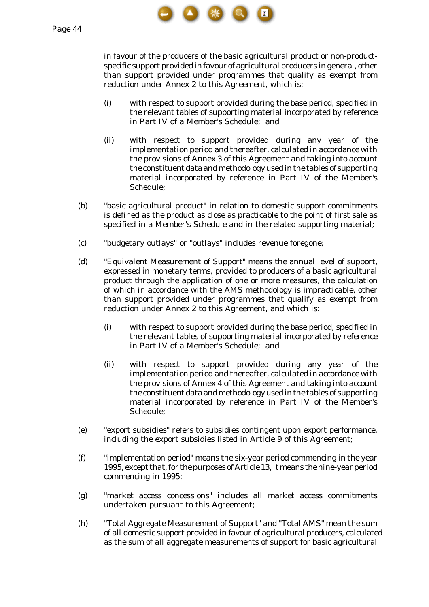

in favour of the producers of the basic agricultural product or non-productspecific support provided in favour of agricultural producers in general, other than support provided under programmes that qualify as exempt from reduction under Annex 2 to this Agreement, which is:

- (i) with respect to support provided during the base period, specified in the relevant tables of supporting material incorporated by reference in Part IV of a Member's Schedule; and
- (ii) with respect to support provided during any year of the implementation period and thereafter, calculated in accordance with the provisions of Annex 3 of this Agreement and taking into account the constituent data and methodology used in the tables of supporting material incorporated by reference in Part IV of the Member's Schedule;
- (b) "basic agricultural product" in relation to domestic support commitments is defined as the product as close as practicable to the point of first sale as specified in a Member's Schedule and in the related supporting material;
- (c) "budgetary outlays" or "outlays" includes revenue foregone;
- (d) "Equivalent Measurement of Support" means the annual level of support, expressed in monetary terms, provided to producers of a basic agricultural product through the application of one or more measures, the calculation of which in accordance with the AMS methodology is impracticable, other than support provided under programmes that qualify as exempt from reduction under Annex 2 to this Agreement, and which is:
	- (i) with respect to support provided during the base period, specified in the relevant tables of supporting material incorporated by reference in Part IV of a Member's Schedule; and
	- (ii) with respect to support provided during any year of the implementation period and thereafter, calculated in accordance with the provisions of Annex 4 of this Agreement and taking into account the constituent data and methodology used in the tables of supporting material incorporated by reference in Part IV of the Member's Schedule;
- (e) "export subsidies" refers to subsidies contingent upon export performance, including the export subsidies listed in Article 9 of this Agreement;
- (f) "implementation period" means the six-year period commencing in the year 1995, except that, for the purposes of Article 13, it means the nine-year period commencing in 1995;
- (g) "market access concessions" includes all market access commitments undertaken pursuant to this Agreement;
- (h) "Total Aggregate Measurement of Support" and "Total AMS" mean the sum of all domestic support provided in favour of agricultural producers, calculated as the sum of all aggregate measurements of support for basic agricultural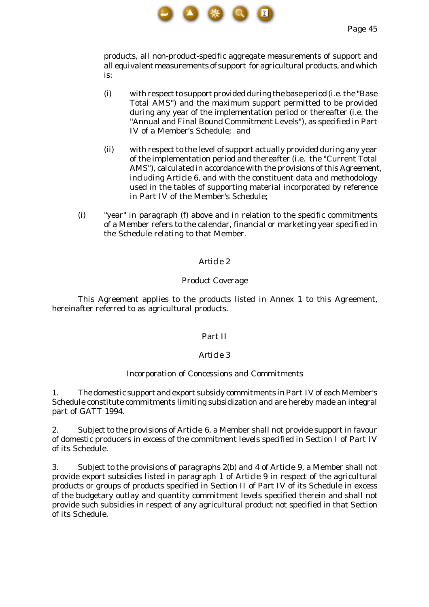

products, all non-product-specific aggregate measurements of support and all equivalent measurements of support for agricultural products, and which is:

- (i) with respect to support provided during the base period (i.e. the "Base Total AMS") and the maximum support permitted to be provided during any year of the implementation period or thereafter (i.e. the "Annual and Final Bound Commitment Levels"), as specified in Part IV of a Member's Schedule; and
- (ii) with respect to the level of support actually provided during any year of the implementation period and thereafter (i.e. the "Current Total AMS"), calculated in accordance with the provisions of this Agreement, including Article 6, and with the constituent data and methodology used in the tables of supporting material incorporated by reference in Part IV of the Member's Schedule;
- (i) "year" in paragraph (f) above and in relation to the specific commitments of a Member refers to the calendar, financial or marketing year specified in the Schedule relating to that Member.

# *Article 2*

### *Product Coverage*

This Agreement applies to the products listed in Annex 1 to this Agreement, hereinafter referred to as agricultural products.

# *Part II*

# *Article 3*

# *Incorporation of Concessions and Commitments*

1. The domestic support and export subsidy commitments in Part IV of each Member's Schedule constitute commitments limiting subsidization and are hereby made an integral part of GATT 1994.

2. Subject to the provisions of Article 6, a Member shall not provide support in favour of domestic producers in excess of the commitment levels specified in Section I of Part IV of its Schedule.

3. Subject to the provisions of paragraphs 2(b) and 4 of Article 9, a Member shall not provide export subsidies listed in paragraph 1 of Article 9 in respect of the agricultural products or groups of products specified in Section II of Part IV of its Schedule in excess of the budgetary outlay and quantity commitment levels specified therein and shall not provide such subsidies in respect of any agricultural product not specified in that Section of its Schedule.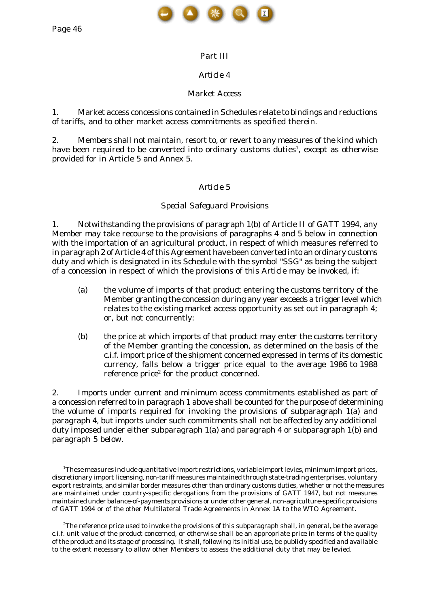$\overline{a}$ 

# *Part III*

# *Article 4*

# *Market Access*

1. Market access concessions contained in Schedules relate to bindings and reductions of tariffs, and to other market access commitments as specified therein.

2. Members shall not maintain, resort to, or revert to any measures of the kind which have been required to be converted into ordinary customs duties<sup>1</sup>, except as otherwise provided for in Article 5 and Annex 5.

# *Article 5*

# *Special Safeguard Provisions*

1. Notwithstanding the provisions of paragraph 1(b) of Article II of GATT 1994, any Member may take recourse to the provisions of paragraphs 4 and 5 below in connection with the importation of an agricultural product, in respect of which measures referred to in paragraph 2 of Article 4 of this Agreement have been converted into an ordinary customs duty and which is designated in its Schedule with the symbol "SSG" as being the subject of a concession in respect of which the provisions of this Article may be invoked, if:

- (a) the volume of imports of that product entering the customs territory of the Member granting the concession during any year exceeds a trigger level which relates to the existing market access opportunity as set out in paragraph 4; or, but not concurrently:
- (b) the price at which imports of that product may enter the customs territory of the Member granting the concession, as determined on the basis of the c.i.f. import price of the shipment concerned expressed in terms of its domestic currency, falls below a trigger price equal to the average 1986 to 1988 reference price<sup>2</sup> for the product concerned.

2. Imports under current and minimum access commitments established as part of a concession referred to in paragraph 1 above shall be counted for the purpose of determining the volume of imports required for invoking the provisions of subparagraph 1(a) and paragraph 4, but imports under such commitments shall not be affected by any additional duty imposed under either subparagraph 1(a) and paragraph 4 or subparagraph 1(b) and paragraph 5 below.

<sup>&</sup>lt;sup>1</sup>These measures include quantitative import restrictions, variable import levies, minimum import prices, discretionary import licensing, non-tariff measures maintained through state-trading enterprises, voluntary export restraints, and similar border measures other than ordinary customs duties, whether or not the measures are maintained under country-specific derogations from the provisions of GATT 1947, but not measures maintained under balance-of-payments provisions or under other general, non-agriculture-specific provisions of GATT 1994 or of the other Multilateral Trade Agreements in Annex 1A to the WTO Agreement.

 ${}^{2}$ The reference price used to invoke the provisions of this subparagraph shall, in general, be the average c.i.f. unit value of the product concerned, or otherwise shall be an appropriate price in terms of the quality of the product and its stage of processing. It shall, following its initial use, be publicly specified and available to the extent necessary to allow other Members to assess the additional duty that may be levied.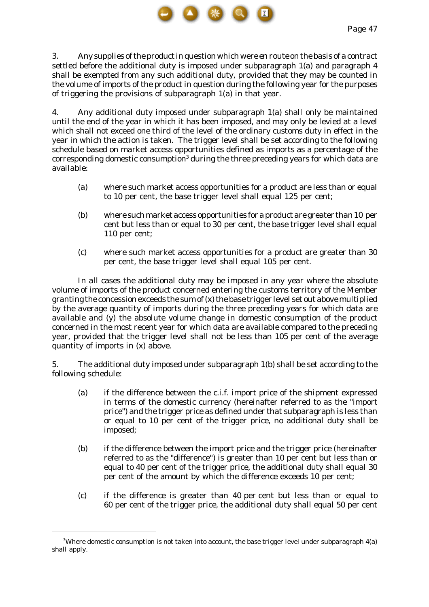

3. Any supplies of the product in question which were *en route* on the basis of a contract settled before the additional duty is imposed under subparagraph 1(a) and paragraph 4 shall be exempted from any such additional duty, provided that they may be counted in the volume of imports of the product in question during the following year for the purposes of triggering the provisions of subparagraph 1(a) in that year.

4. Any additional duty imposed under subparagraph 1(a) shall only be maintained until the end of the year in which it has been imposed, and may only be levied at a level which shall not exceed one third of the level of the ordinary customs duty in effect in the year in which the action is taken. The trigger level shall be set according to the following schedule based on market access opportunities defined as imports as a percentage of the corresponding domestic consumption $^3$  during the three preceding years for which data are available:

- (a) where such market access opportunities for a product are less than or equal to 10 per cent, the base trigger level shall equal 125 per cent;
- (b) where such market access opportunities for a product are greater than 10 per cent but less than or equal to 30 per cent, the base trigger level shall equal 110 per cent;
- (c) where such market access opportunities for a product are greater than 30 per cent, the base trigger level shall equal 105 per cent.

In all cases the additional duty may be imposed in any year where the absolute volume of imports of the product concerned entering the customs territory of the Member granting the concession exceeds the sum of (*x*) the base trigger level set out above multiplied by the average quantity of imports during the three preceding years for which data are available and (*y*) the absolute volume change in domestic consumption of the product concerned in the most recent year for which data are available compared to the preceding year, provided that the trigger level shall not be less than 105 per cent of the average quantity of imports in (*x*) above.

5. The additional duty imposed under subparagraph 1(b) shall be set according to the following schedule:

- (a) if the difference between the c.i.f. import price of the shipment expressed in terms of the domestic currency (hereinafter referred to as the "import price") and the trigger price as defined under that subparagraph is less than or equal to 10 per cent of the trigger price, no additional duty shall be imposed;
- (b) if the difference between the import price and the trigger price (hereinafter referred to as the "difference") is greater than 10 per cent but less than or equal to 40 per cent of the trigger price, the additional duty shall equal 30 per cent of the amount by which the difference exceeds 10 per cent;
- (c) if the difference is greater than 40 per cent but less than or equal to 60 per cent of the trigger price, the additional duty shall equal 50 per cent

 $\overline{a}$ 

<sup>&</sup>lt;sup>3</sup>Where domestic consumption is not taken into account, the base trigger level under subparagraph  $4(a)$ shall apply.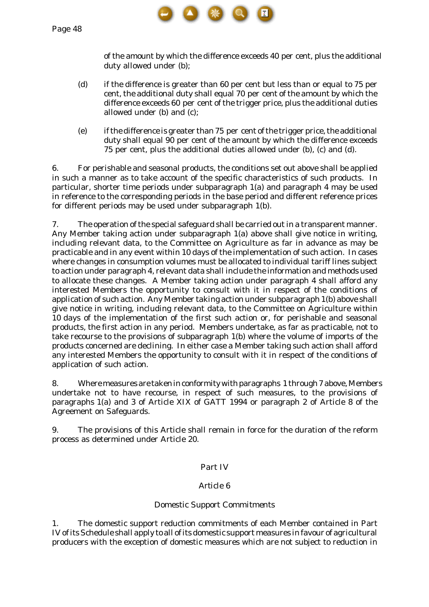



of the amount by which the difference exceeds 40 per cent, plus the additional duty allowed under (b);

- (d) if the difference is greater than 60 per cent but less than or equal to 75 per cent, the additional duty shall equal 70 per cent of the amount by which the difference exceeds 60 per cent of the trigger price, plus the additional duties allowed under (b) and (c);
- (e) if the difference is greater than 75 per cent of the trigger price, the additional duty shall equal 90 per cent of the amount by which the difference exceeds 75 per cent, plus the additional duties allowed under (b), (c) and (d).

6. For perishable and seasonal products, the conditions set out above shall be applied in such a manner as to take account of the specific characteristics of such products. In particular, shorter time periods under subparagraph 1(a) and paragraph 4 may be used in reference to the corresponding periods in the base period and different reference prices for different periods may be used under subparagraph 1(b).

7. The operation of the special safeguard shall be carried out in a transparent manner. Any Member taking action under subparagraph 1(a) above shall give notice in writing, including relevant data, to the Committee on Agriculture as far in advance as may be practicable and in any event within 10 days of the implementation of such action. In cases where changes in consumption volumes must be allocated to individual tariff lines subject to action under paragraph 4, relevant data shall include the information and methods used to allocate these changes. A Member taking action under paragraph 4 shall afford any interested Members the opportunity to consult with it in respect of the conditions of application of such action. Any Member taking action under subparagraph 1(b) above shall give notice in writing, including relevant data, to the Committee on Agriculture within 10 days of the implementation of the first such action or, for perishable and seasonal products, the first action in any period. Members undertake, as far as practicable, not to take recourse to the provisions of subparagraph 1(b) where the volume of imports of the products concerned are declining. In either case a Member taking such action shall afford any interested Members the opportunity to consult with it in respect of the conditions of application of such action.

8. Where measures are taken in conformity with paragraphs 1 through 7 above, Members undertake not to have recourse, in respect of such measures, to the provisions of paragraphs 1(a) and 3 of Article XIX of GATT 1994 or paragraph 2 of Article 8 of the Agreement on Safeguards.

9. The provisions of this Article shall remain in force for the duration of the reform process as determined under Article 20.

# *Part IV*

# *Article 6*

# *Domestic Support Commitments*

1. The domestic support reduction commitments of each Member contained in Part IV of its Schedule shall apply to all of its domestic support measures in favour of agricultural producers with the exception of domestic measures which are not subject to reduction in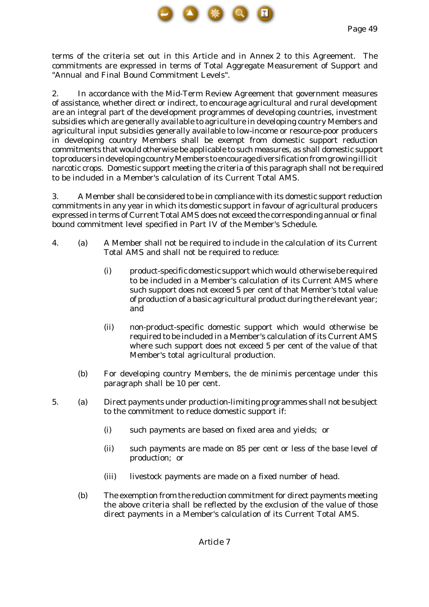

terms of the criteria set out in this Article and in Annex 2 to this Agreement. The commitments are expressed in terms of Total Aggregate Measurement of Support and "Annual and Final Bound Commitment Levels".

2. In accordance with the Mid-Term Review Agreement that government measures of assistance, whether direct or indirect, to encourage agricultural and rural development are an integral part of the development programmes of developing countries, investment subsidies which are generally available to agriculture in developing country Members and agricultural input subsidies generally available to low-income or resource-poor producers in developing country Members shall be exempt from domestic support reduction commitments that would otherwise be applicable to such measures, as shall domestic support to producers in developing country Members to encourage diversification from growing illicit narcotic crops. Domestic support meeting the criteria of this paragraph shall not be required to be included in a Member's calculation of its Current Total AMS.

3. A Member shall be considered to be in compliance with its domestic support reduction commitments in any year in which its domestic support in favour of agricultural producers expressed in terms of Current Total AMS does not exceed the corresponding annual or final bound commitment level specified in Part IV of the Member's Schedule.

- 4. (a) A Member shall not be required to include in the calculation of its Current Total AMS and shall not be required to reduce:
	- (i) product-specific domestic support which would otherwise be required to be included in a Member's calculation of its Current AMS where such support does not exceed 5 per cent of that Member's total value of production of a basic agricultural product during the relevant year; and
	- (ii) non-product-specific domestic support which would otherwise be required to be included in a Member's calculation of its Current AMS where such support does not exceed 5 per cent of the value of that Member's total agricultural production.
	- (b) For developing country Members, the *de minimis* percentage under this paragraph shall be 10 per cent.
- 5. (a) Direct payments under production-limiting programmes shall not be subject to the commitment to reduce domestic support if:
	- (i) such payments are based on fixed area and yields; or
	- (ii) such payments are made on 85 per cent or less of the base level of production; or
	- (iii) livestock payments are made on a fixed number of head.
	- (b) The exemption from the reduction commitment for direct payments meeting the above criteria shall be reflected by the exclusion of the value of those direct payments in a Member's calculation of its Current Total AMS.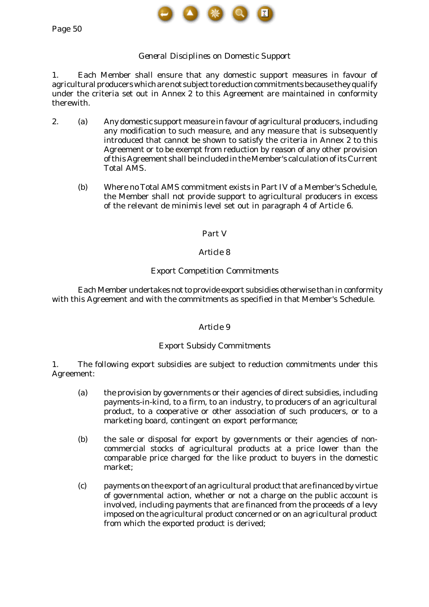

### *General Disciplines on Domestic Support*

1. Each Member shall ensure that any domestic support measures in favour of agricultural producers which are not subject to reduction commitments because they qualify under the criteria set out in Annex 2 to this Agreement are maintained in conformity therewith.

- 2. (a) Any domestic support measure in favour of agricultural producers, including any modification to such measure, and any measure that is subsequently introduced that cannot be shown to satisfy the criteria in Annex 2 to this Agreement or to be exempt from reduction by reason of any other provision of this Agreement shall be included in the Member's calculation of its Current Total AMS.
	- (b) Where no Total AMS commitment exists in Part IV of a Member's Schedule, the Member shall not provide support to agricultural producers in excess of the relevant *de minimis* level set out in paragraph 4 of Article 6.

# *Part V*

### *Article 8*

### *Export Competition Commitments*

Each Member undertakes not to provide export subsidies otherwise than in conformity with this Agreement and with the commitments as specified in that Member's Schedule.

#### *Article 9*

#### *Export Subsidy Commitments*

1. The following export subsidies are subject to reduction commitments under this Agreement:

- (a) the provision by governments or their agencies of direct subsidies, including payments-in-kind, to a firm, to an industry, to producers of an agricultural product, to a cooperative or other association of such producers, or to a marketing board, contingent on export performance;
- (b) the sale or disposal for export by governments or their agencies of noncommercial stocks of agricultural products at a price lower than the comparable price charged for the like product to buyers in the domestic market;
- (c) payments on the export of an agricultural product that are financed by virtue of governmental action, whether or not a charge on the public account is involved, including payments that are financed from the proceeds of a levy imposed on the agricultural product concerned or on an agricultural product from which the exported product is derived;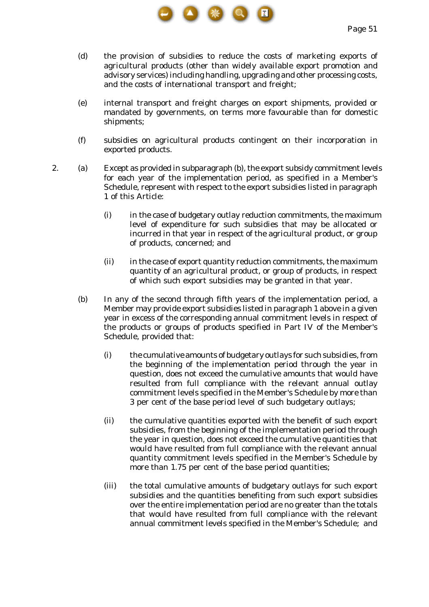

- (d) the provision of subsidies to reduce the costs of marketing exports of agricultural products (other than widely available export promotion and advisory services) including handling, upgrading and other processing costs, and the costs of international transport and freight;
- (e) internal transport and freight charges on export shipments, provided or mandated by governments, on terms more favourable than for domestic shipments;
- (f) subsidies on agricultural products contingent on their incorporation in exported products.
- 2. (a) Except as provided in subparagraph (b), the export subsidy commitment levels for each year of the implementation period, as specified in a Member's Schedule, represent with respect to the export subsidies listed in paragraph 1 of this Article:
	- (i) in the case of budgetary outlay reduction commitments, the maximum level of expenditure for such subsidies that may be allocated or incurred in that year in respect of the agricultural product, or group of products, concerned; and
	- (ii) in the case of export quantity reduction commitments, the maximum quantity of an agricultural product, or group of products, in respect of which such export subsidies may be granted in that year.
	- (b) In any of the second through fifth years of the implementation period, a Member may provide export subsidies listed in paragraph 1 above in a given year in excess of the corresponding annual commitment levels in respect of the products or groups of products specified in Part IV of the Member's Schedule, provided that:
		- (i) the cumulative amounts of budgetary outlays for such subsidies, from the beginning of the implementation period through the year in question, does not exceed the cumulative amounts that would have resulted from full compliance with the relevant annual outlay commitment levels specified in the Member's Schedule by more than 3 per cent of the base period level of such budgetary outlays;
		- (ii) the cumulative quantities exported with the benefit of such export subsidies, from the beginning of the implementation period through the year in question, does not exceed the cumulative quantities that would have resulted from full compliance with the relevant annual quantity commitment levels specified in the Member's Schedule by more than 1.75 per cent of the base period quantities;
		- (iii) the total cumulative amounts of budgetary outlays for such export subsidies and the quantities benefiting from such export subsidies over the entire implementation period are no greater than the totals that would have resulted from full compliance with the relevant annual commitment levels specified in the Member's Schedule; and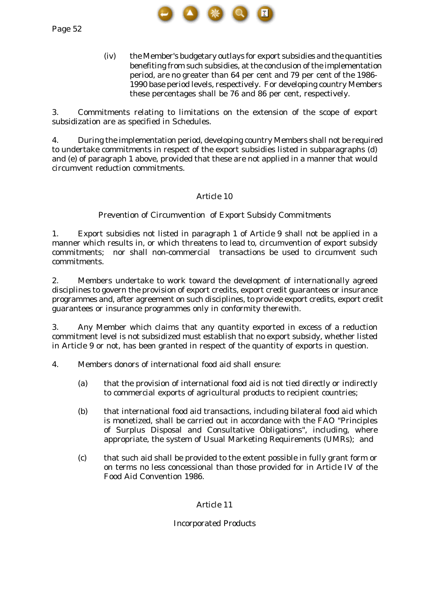

(iv) the Member's budgetary outlays for export subsidies and the quantities benefiting from such subsidies, at the conclusion of the implementation period, are no greater than 64 per cent and 79 per cent of the 1986- 1990 base period levels, respectively. For developing country Members these percentages shall be 76 and 86 per cent, respectively.

3. Commitments relating to limitations on the extension of the scope of export subsidization are as specified in Schedules.

4. During the implementation period, developing country Members shall not be required to undertake commitments in respect of the export subsidies listed in subparagraphs (d) and (e) of paragraph 1 above, provided that these are not applied in a manner that would circumvent reduction commitments.

# *Article 10*

# *Prevention of Circumvention of Export Subsidy Commitments*

1. Export subsidies not listed in paragraph 1 of Article 9 shall not be applied in a manner which results in, or which threatens to lead to, circumvention of export subsidy commitments; nor shall non-commercial transactions be used to circumvent such commitments.

2. Members undertake to work toward the development of internationally agreed disciplines to govern the provision of export credits, export credit guarantees or insurance programmes and, after agreement on such disciplines, to provide export credits, export credit guarantees or insurance programmes only in conformity therewith.

3. Any Member which claims that any quantity exported in excess of a reduction commitment level is not subsidized must establish that no export subsidy, whether listed in Article 9 or not, has been granted in respect of the quantity of exports in question.

4. Members donors of international food aid shall ensure:

- (a) that the provision of international food aid is not tied directly or indirectly to commercial exports of agricultural products to recipient countries;
- (b) that international food aid transactions, including bilateral food aid which is monetized, shall be carried out in accordance with the FAO "Principles of Surplus Disposal and Consultative Obligations", including, where appropriate, the system of Usual Marketing Requirements (UMRs); and
- (c) that such aid shall be provided to the extent possible in fully grant form or on terms no less concessional than those provided for in Article IV of the Food Aid Convention 1986.

# *Article 11*

# *Incorporated Products*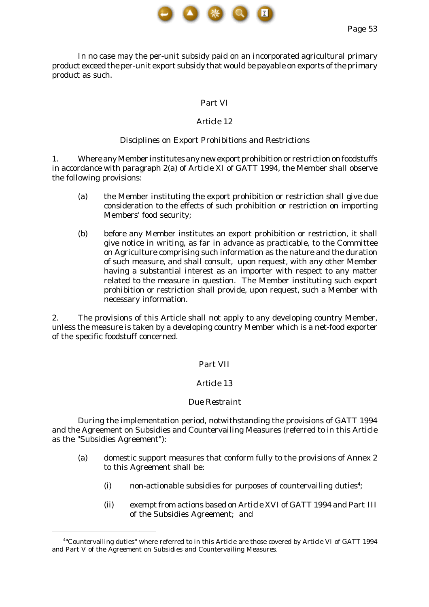

In no case may the per-unit subsidy paid on an incorporated agricultural primary product exceed the per-unit export subsidy that would be payable on exports of the primary product as such.

### *Part VI*

### *Article 12*

### *Disciplines on Export Prohibitions and Restrictions*

1. Where any Member institutes any new export prohibition or restriction on foodstuffs in accordance with paragraph 2(a) of Article XI of GATT 1994, the Member shall observe the following provisions:

- (a) the Member instituting the export prohibition or restriction shall give due consideration to the effects of such prohibition or restriction on importing Members' food security;
- (b) before any Member institutes an export prohibition or restriction, it shall give notice in writing, as far in advance as practicable, to the Committee on Agriculture comprising such information as the nature and the duration of such measure, and shall consult, upon request, with any other Member having a substantial interest as an importer with respect to any matter related to the measure in question. The Member instituting such export prohibition or restriction shall provide, upon request, such a Member with necessary information.

2. The provisions of this Article shall not apply to any developing country Member, unless the measure is taken by a developing country Member which is a net-food exporter of the specific foodstuff concerned.

# *Part VII*

# *Article 13*

#### *Due Restraint*

During the implementation period, notwithstanding the provisions of GATT 1994 and the Agreement on Subsidies and Countervailing Measures (referred to in this Article as the "Subsidies Agreement"):

- (a) domestic support measures that conform fully to the provisions of Annex 2 to this Agreement shall be:
	- $(i)$  non-actionable subsidies for purposes of countervailing duties<sup>4</sup>;
	- (ii) exempt from actions based on Article XVI of GATT 1994 and Part III of the Subsidies Agreement; and

 $\overline{a}$ 

<sup>4</sup> "Countervailing duties" where referred to in this Article are those covered by Article VI of GATT 1994 and Part V of the Agreement on Subsidies and Countervailing Measures.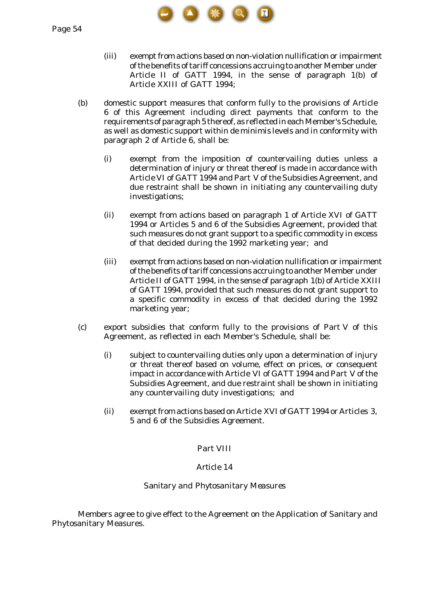

- (iii) exempt from actions based on non-violation nullification or impairment of the benefits of tariff concessions accruing to another Member under Article II of GATT 1994, in the sense of paragraph 1(b) of Article XXIII of GATT 1994;
- (b) domestic support measures that conform fully to the provisions of Article 6 of this Agreement including direct payments that conform to the requirements of paragraph 5 thereof, as reflected in each Member's Schedule, as well as domestic support within *de minimis* levels and in conformity with paragraph 2 of Article 6, shall be:
	- (i) exempt from the imposition of countervailing duties unless a determination of injury or threat thereof is made in accordance with Article VI of GATT 1994 and Part V of the Subsidies Agreement, and due restraint shall be shown in initiating any countervailing duty investigations;
	- (ii) exempt from actions based on paragraph 1 of Article XVI of GATT 1994 or Articles 5 and 6 of the Subsidies Agreement, provided that such measures do not grant support to a specific commodity in excess of that decided during the 1992 marketing year; and
	- (iii) exempt from actions based on non-violation nullification or impairment of the benefits of tariff concessions accruing to another Member under Article II of GATT 1994, in the sense of paragraph 1(b) of Article XXIII of GATT 1994, provided that such measures do not grant support to a specific commodity in excess of that decided during the 1992 marketing year;
- (c) export subsidies that conform fully to the provisions of Part V of this Agreement, as reflected in each Member's Schedule, shall be:
	- (i) subject to countervailing duties only upon a determination of injury or threat thereof based on volume, effect on prices, or consequent impact in accordance with Article VI of GATT 1994 and Part V of the Subsidies Agreement, and due restraint shall be shown in initiating any countervailing duty investigations; and
	- (ii) exempt from actions based on Article XVI of GATT 1994 or Articles 3, 5 and 6 of the Subsidies Agreement.

# *Part VIII*

# *Article 14*

#### *Sanitary and Phytosanitary Measures*

Members agree to give effect to the Agreement on the Application of Sanitary and Phytosanitary Measures.

Page 54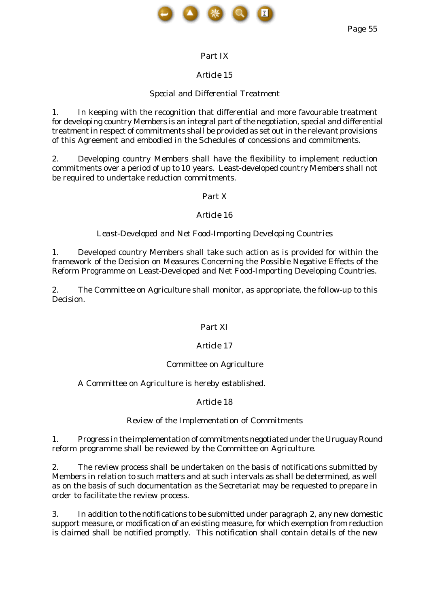

# *Part IX*

# *Article 15*

# *Special and Differential Treatment*

1. In keeping with the recognition that differential and more favourable treatment for developing country Members is an integral part of the negotiation, special and differential treatment in respect of commitments shall be provided as set out in the relevant provisions of this Agreement and embodied in the Schedules of concessions and commitments.

2. Developing country Members shall have the flexibility to implement reduction commitments over a period of up to 10 years. Least-developed country Members shall not be required to undertake reduction commitments.

# *Part X*

# *Article 16*

# *Least-Developed and Net Food-Importing Developing Countries*

1. Developed country Members shall take such action as is provided for within the framework of the Decision on Measures Concerning the Possible Negative Effects of the Reform Programme on Least-Developed and Net Food-Importing Developing Countries.

2. The Committee on Agriculture shall monitor, as appropriate, the follow-up to this Decision.

# *Part XI*

# *Article 17*

# *Committee on Agriculture*

# A Committee on Agriculture is hereby established.

# *Article 18*

# *Review of the Implementation of Commitments*

1. Progress in the implementation of commitments negotiated under the Uruguay Round reform programme shall be reviewed by the Committee on Agriculture.

2. The review process shall be undertaken on the basis of notifications submitted by Members in relation to such matters and at such intervals as shall be determined, as well as on the basis of such documentation as the Secretariat may be requested to prepare in order to facilitate the review process.

3. In addition to the notifications to be submitted under paragraph 2, any new domestic support measure, or modification of an existing measure, for which exemption from reduction is claimed shall be notified promptly. This notification shall contain details of the new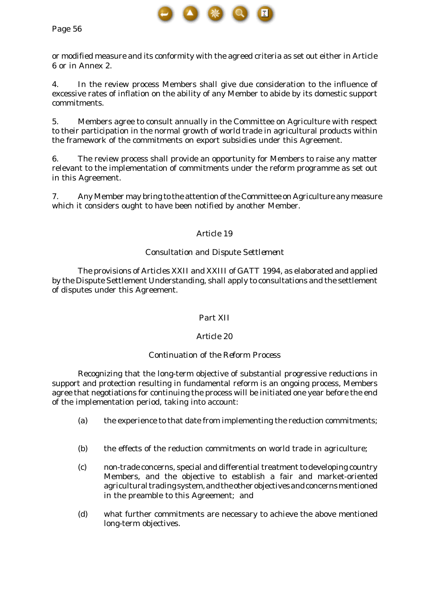

or modified measure and its conformity with the agreed criteria as set out either in Article 6 or in Annex 2.

4. In the review process Members shall give due consideration to the influence of excessive rates of inflation on the ability of any Member to abide by its domestic support commitments.

5. Members agree to consult annually in the Committee on Agriculture with respect to their participation in the normal growth of world trade in agricultural products within the framework of the commitments on export subsidies under this Agreement.

6. The review process shall provide an opportunity for Members to raise any matter relevant to the implementation of commitments under the reform programme as set out in this Agreement.

7. Any Member may bring to the attention of the Committee on Agriculture any measure which it considers ought to have been notified by another Member.

# *Article 19*

# *Consultation and Dispute Settlement*

The provisions of Articles XXII and XXIII of GATT 1994, as elaborated and applied by the Dispute Settlement Understanding, shall apply to consultations and the settlement of disputes under this Agreement.

# *Part XII*

# *Article 20*

# *Continuation of the Reform Process*

Recognizing that the long-term objective of substantial progressive reductions in support and protection resulting in fundamental reform is an ongoing process, Members agree that negotiations for continuing the process will be initiated one year before the end of the implementation period, taking into account:

- (a) the experience to that date from implementing the reduction commitments;
- (b) the effects of the reduction commitments on world trade in agriculture;
- (c) non-trade concerns, special and differential treatment to developing country Members, and the objective to establish a fair and market-oriented agricultural trading system, and the other objectives and concerns mentioned in the preamble to this Agreement; and
- (d) what further commitments are necessary to achieve the above mentioned long-term objectives.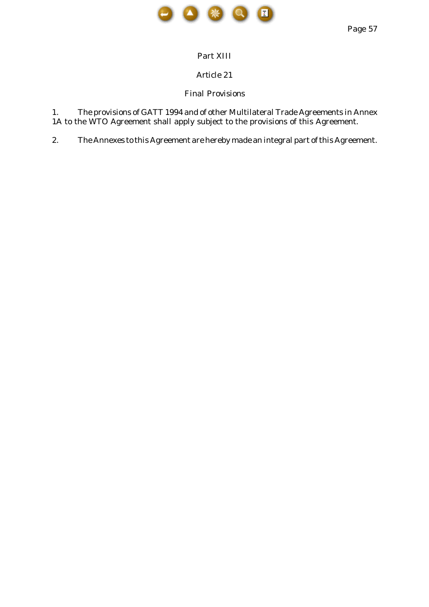

# *Part XIII*

# *Article 21*

# *Final Provisions*

1. The provisions of GATT 1994 and of other Multilateral Trade Agreements in Annex 1A to the WTO Agreement shall apply subject to the provisions of this Agreement.

2. The Annexes to this Agreement are hereby made an integral part of this Agreement.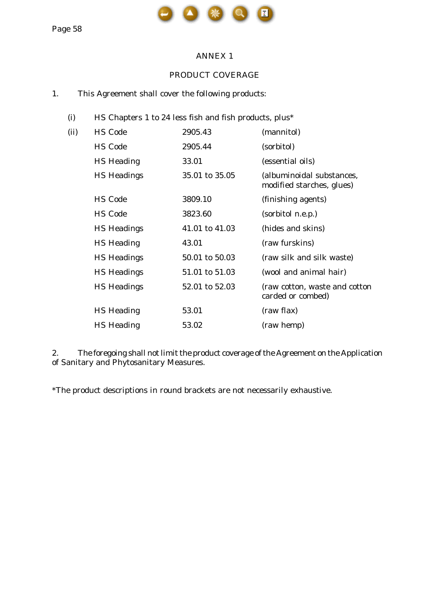

# ANNEX 1

# PRODUCT COVERAGE

### 1. This Agreement shall cover the following products:

(i) HS Chapters 1 to 24 less fish and fish products, plus\*

| (ii) | <b>HS Code</b>     | 2905.43        | (mannitol)                                             |
|------|--------------------|----------------|--------------------------------------------------------|
|      | <b>HS Code</b>     | 2905.44        | (sorbitol)                                             |
|      | <b>HS</b> Heading  | 33.01          | (essential oils)                                       |
|      | <b>HS</b> Headings | 35.01 to 35.05 | (albuminoidal substances,<br>modified starches, glues) |
|      | <b>HS Code</b>     | 3809.10        | (finishing agents)                                     |
|      | <b>HS Code</b>     | 3823.60        | (sorbitol n.e.p.)                                      |
|      | <b>HS</b> Headings | 41.01 to 41.03 | (hides and skins)                                      |
|      | <b>HS Heading</b>  | 43.01          | (raw furskins)                                         |
|      | <b>HS Headings</b> | 50.01 to 50.03 | (raw silk and silk waste)                              |
|      | <b>HS</b> Headings | 51.01 to 51.03 | (wool and animal hair)                                 |
|      | <b>HS</b> Headings | 52.01 to 52.03 | (raw cotton, waste and cotton<br>carded or combed)     |
|      | <b>HS</b> Heading  | 53.01          | (raw flax)                                             |
|      | <b>HS</b> Heading  | 53.02          | (raw hemp)                                             |

2. The foregoing shall not limit the product coverage of the Agreement on the Application of Sanitary and Phytosanitary Measures.

\*The product descriptions in round brackets are not necessarily exhaustive.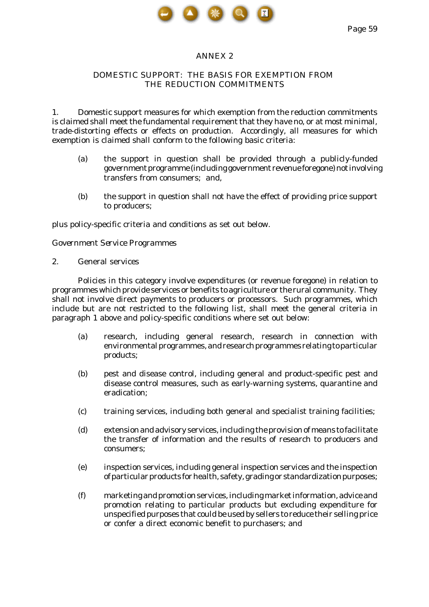

#### ANNEX 2

#### DOMESTIC SUPPORT: THE BASIS FOR EXEMPTION FROM THE REDUCTION COMMITMENTS

1. Domestic support measures for which exemption from the reduction commitments is claimed shall meet the fundamental requirement that they have no, or at most minimal, trade-distorting effects or effects on production. Accordingly, all measures for which exemption is claimed shall conform to the following basic criteria:

- (a) the support in question shall be provided through a publicly-funded government programme (including government revenue foregone) not involving transfers from consumers; and,
- (b) the support in question shall not have the effect of providing price support to producers;

plus policy-specific criteria and conditions as set out below.

*Government Service Programmes*

2. General services

Policies in this category involve expenditures (or revenue foregone) in relation to programmes which provide services or benefits to agriculture or the rural community. They shall not involve direct payments to producers or processors. Such programmes, which include but are not restricted to the following list, shall meet the general criteria in paragraph 1 above and policy-specific conditions where set out below:

- (a) research, including general research, research in connection with environmental programmes, and research programmes relating to particular products;
- (b) pest and disease control, including general and product-specific pest and disease control measures, such as early-warning systems, quarantine and eradication;
- (c) training services, including both general and specialist training facilities;
- (d) extension and advisory services, including the provision of means to facilitate the transfer of information and the results of research to producers and consumers;
- (e) inspection services, including general inspection services and the inspection of particular products for health, safety, grading or standardization purposes;
- (f) marketing and promotion services, including market information, advice and promotion relating to particular products but excluding expenditure for unspecified purposes that could be used by sellers to reduce their selling price or confer a direct economic benefit to purchasers; and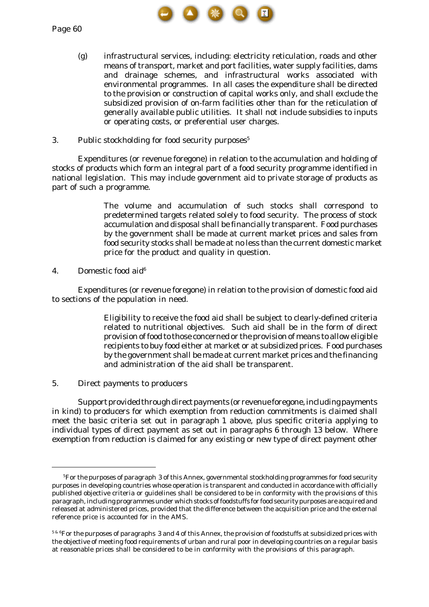

- (g) infrastructural services, including: electricity reticulation, roads and other means of transport, market and port facilities, water supply facilities, dams and drainage schemes, and infrastructural works associated with environmental programmes. In all cases the expenditure shall be directed to the provision or construction of capital works only, and shall exclude the subsidized provision of on-farm facilities other than for the reticulation of generally available public utilities. It shall not include subsidies to inputs or operating costs, or preferential user charges.
- 3. Public stockholding for food security purposes<sup>5</sup>

Expenditures (or revenue foregone) in relation to the accumulation and holding of stocks of products which form an integral part of a food security programme identified in national legislation. This may include government aid to private storage of products as part of such a programme.

> The volume and accumulation of such stocks shall correspond to predetermined targets related solely to food security. The process of stock accumulation and disposal shall be financially transparent. Food purchases by the government shall be made at current market prices and sales from food security stocks shall be made at no less than the current domestic market price for the product and quality in question.

4. Domestic food aid $6$ 

Expenditures (or revenue foregone) in relation to the provision of domestic food aid to sections of the population in need.

> Eligibility to receive the food aid shall be subject to clearly-defined criteria related to nutritional objectives. Such aid shall be in the form of direct provision of food to those concerned or the provision of means to allow eligible recipients to buy food either at market or at subsidized prices. Food purchases by the government shall be made at current market prices and the financing and administration of the aid shall be transparent.

5. Direct payments to producers

 $\overline{a}$ 

Support provided through direct payments (or revenue foregone, including payments in kind) to producers for which exemption from reduction commitments is claimed shall meet the basic criteria set out in paragraph 1 above, plus specific criteria applying to individual types of direct payment as set out in paragraphs 6 through 13 below. Where exemption from reduction is claimed for any existing or new type of direct payment other

<sup>5</sup>For the purposes of paragraph 3 of this Annex, governmental stockholding programmes for food security purposes in developing countries whose operation is transparent and conducted in accordance with officially published objective criteria or guidelines shall be considered to be in conformity with the provisions of this paragraph, including programmes under which stocks of foodstuffs for food security purposes are acquired and released at administered prices, provided that the difference between the acquisition price and the external reference price is accounted for in the AMS.

<sup>5 &</sup>amp; 6For the purposes of paragraphs 3 and 4 of this Annex, the provision of foodstuffs at subsidized prices with the objective of meeting food requirements of urban and rural poor in developing countries on a regular basis at reasonable prices shall be considered to be in conformity with the provisions of this paragraph.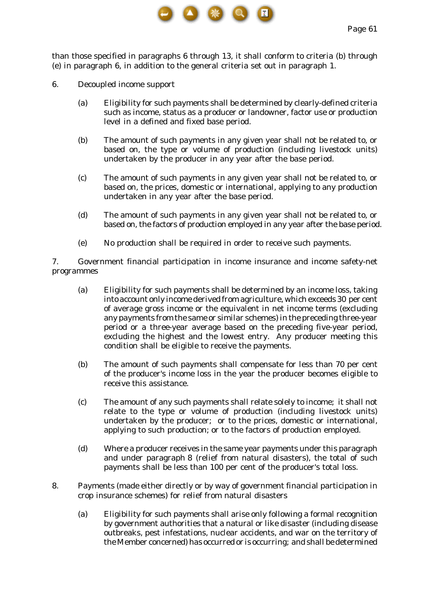

than those specified in paragraphs 6 through 13, it shall conform to criteria (b) through (e) in paragraph 6, in addition to the general criteria set out in paragraph 1.

- 6. Decoupled income support
	- (a) Eligibility for such payments shall be determined by clearly-defined criteria such as income, status as a producer or landowner, factor use or production level in a defined and fixed base period.
	- (b) The amount of such payments in any given year shall not be related to, or based on, the type or volume of production (including livestock units) undertaken by the producer in any year after the base period.
	- (c) The amount of such payments in any given year shall not be related to, or based on, the prices, domestic or international, applying to any production undertaken in any year after the base period.
	- (d) The amount of such payments in any given year shall not be related to, or based on, the factors of production employed in any year after the base period.
	- (e) No production shall be required in order to receive such payments.

7. Government financial participation in income insurance and income safety-net programmes

- (a) Eligibility for such payments shall be determined by an income loss, taking into account only income derived from agriculture, which exceeds 30 per cent of average gross income or the equivalent in net income terms (excluding any payments from the same or similar schemes) in the preceding three-year period or a three-year average based on the preceding five-year period, excluding the highest and the lowest entry. Any producer meeting this condition shall be eligible to receive the payments.
- (b) The amount of such payments shall compensate for less than 70 per cent of the producer's income loss in the year the producer becomes eligible to receive this assistance.
- (c) The amount of any such payments shall relate solely to income; it shall not relate to the type or volume of production (including livestock units) undertaken by the producer; or to the prices, domestic or international, applying to such production; or to the factors of production employed.
- (d) Where a producer receives in the same year payments under this paragraph and under paragraph 8 (relief from natural disasters), the total of such payments shall be less than 100 per cent of the producer's total loss.
- 8. Payments (made either directly or by way of government financial participation in crop insurance schemes) for relief from natural disasters
	- (a) Eligibility for such payments shall arise only following a formal recognition by government authorities that a natural or like disaster (including disease outbreaks, pest infestations, nuclear accidents, and war on the territory of the Member concerned) has occurred or is occurring; and shall be determined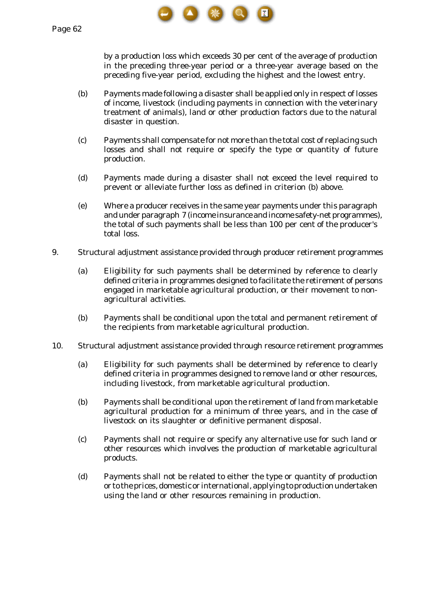

by a production loss which exceeds 30 per cent of the average of production in the preceding three-year period or a three-year average based on the preceding five-year period, excluding the highest and the lowest entry.

- (b) Payments made following a disaster shall be applied only in respect of losses of income, livestock (including payments in connection with the veterinary treatment of animals), land or other production factors due to the natural disaster in question.
- (c) Payments shall compensate for not more than the total cost of replacing such losses and shall not require or specify the type or quantity of future production.
- (d) Payments made during a disaster shall not exceed the level required to prevent or alleviate further loss as defined in criterion (b) above.
- (e) Where a producer receives in the same year payments under this paragraph and under paragraph 7 (income insurance and income safety-net programmes), the total of such payments shall be less than 100 per cent of the producer's total loss.
- 9. Structural adjustment assistance provided through producer retirement programmes
	- (a) Eligibility for such payments shall be determined by reference to clearly defined criteria in programmes designed to facilitate the retirement of persons engaged in marketable agricultural production, or their movement to nonagricultural activities.
	- (b) Payments shall be conditional upon the total and permanent retirement of the recipients from marketable agricultural production.
- 10. Structural adjustment assistance provided through resource retirement programmes
	- (a) Eligibility for such payments shall be determined by reference to clearly defined criteria in programmes designed to remove land or other resources, including livestock, from marketable agricultural production.
	- (b) Payments shall be conditional upon the retirement of land from marketable agricultural production for a minimum of three years, and in the case of livestock on its slaughter or definitive permanent disposal.
	- (c) Payments shall not require or specify any alternative use for such land or other resources which involves the production of marketable agricultural products.
	- (d) Payments shall not be related to either the type or quantity of production or to the prices, domestic or international, applying to production undertaken using the land or other resources remaining in production.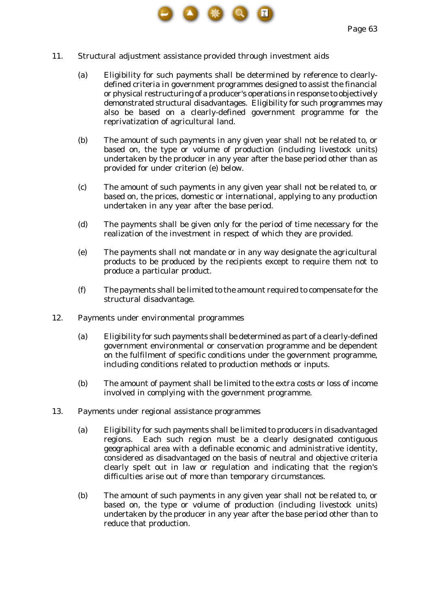

- 11. Structural adjustment assistance provided through investment aids
	- (a) Eligibility for such payments shall be determined by reference to clearlydefined criteria in government programmes designed to assist the financial or physical restructuring of a producer's operations in response to objectively demonstrated structural disadvantages. Eligibility for such programmes may also be based on a clearly-defined government programme for the reprivatization of agricultural land.
	- (b) The amount of such payments in any given year shall not be related to, or based on, the type or volume of production (including livestock units) undertaken by the producer in any year after the base period other than as provided for under criterion (e) below.
	- (c) The amount of such payments in any given year shall not be related to, or based on, the prices, domestic or international, applying to any production undertaken in any year after the base period.
	- (d) The payments shall be given only for the period of time necessary for the realization of the investment in respect of which they are provided.
	- (e) The payments shall not mandate or in any way designate the agricultural products to be produced by the recipients except to require them not to produce a particular product.
	- (f) The payments shall be limited to the amount required to compensate for the structural disadvantage.
- 12. Payments under environmental programmes
	- (a) Eligibility for such payments shall be determined as part of a clearly-defined government environmental or conservation programme and be dependent on the fulfilment of specific conditions under the government programme, including conditions related to production methods or inputs.
	- (b) The amount of payment shall be limited to the extra costs or loss of income involved in complying with the government programme.
- 13. Payments under regional assistance programmes
	- (a) Eligibility for such payments shall be limited to producers in disadvantaged regions. Each such region must be a clearly designated contiguous geographical area with a definable economic and administrative identity, considered as disadvantaged on the basis of neutral and objective criteria clearly spelt out in law or regulation and indicating that the region's difficulties arise out of more than temporary circumstances.
	- (b) The amount of such payments in any given year shall not be related to, or based on, the type or volume of production (including livestock units) undertaken by the producer in any year after the base period other than to reduce that production.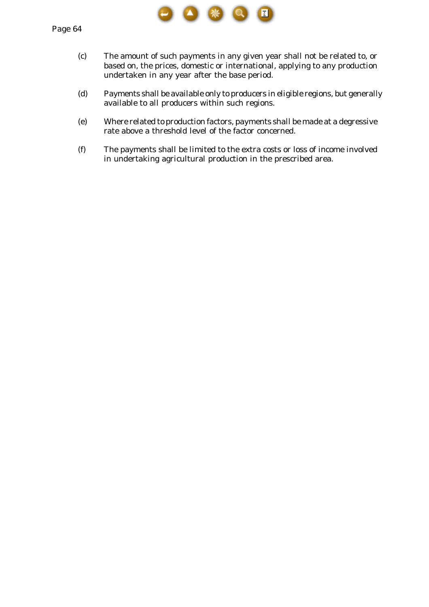

- (c) The amount of such payments in any given year shall not be related to, or based on, the prices, domestic or international, applying to any production undertaken in any year after the base period.
- (d) Payments shall be available only to producers in eligible regions, but generally available to all producers within such regions.
- (e) Where related to production factors, payments shall be made at a degressive rate above a threshold level of the factor concerned.
- (f) The payments shall be limited to the extra costs or loss of income involved in undertaking agricultural production in the prescribed area.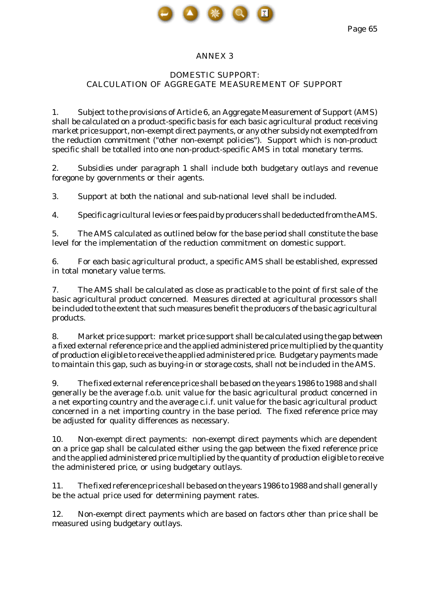

# ANNEX 3

### DOMESTIC SUPPORT: CALCULATION OF AGGREGATE MEASUREMENT OF SUPPORT

1. Subject to the provisions of Article 6, an Aggregate Measurement of Support (AMS) shall be calculated on a product-specific basis for each basic agricultural product receiving market price support, non-exempt direct payments, or any other subsidy not exempted from the reduction commitment ("other non-exempt policies"). Support which is non-product specific shall be totalled into one non-product-specific AMS in total monetary terms.

2. Subsidies under paragraph 1 shall include both budgetary outlays and revenue foregone by governments or their agents.

3. Support at both the national and sub-national level shall be included.

4. Specific agricultural levies or fees paid by producers shall be deducted from the AMS.

5. The AMS calculated as outlined below for the base period shall constitute the base level for the implementation of the reduction commitment on domestic support.

6. For each basic agricultural product, a specific AMS shall be established, expressed in total monetary value terms.

7. The AMS shall be calculated as close as practicable to the point of first sale of the basic agricultural product concerned. Measures directed at agricultural processors shall be included to the extent that such measures benefit the producers of the basic agricultural products.

8. Market price support: market price support shall be calculated using the gap between a fixed external reference price and the applied administered price multiplied by the quantity of production eligible to receive the applied administered price. Budgetary payments made to maintain this gap, such as buying-in or storage costs, shall not be included in the AMS.

9. The fixed external reference price shall be based on the years 1986 to 1988 and shall generally be the average f.o.b. unit value for the basic agricultural product concerned in a net exporting country and the average c.i.f. unit value for the basic agricultural product concerned in a net importing country in the base period. The fixed reference price may be adjusted for quality differences as necessary.

10. Non-exempt direct payments: non-exempt direct payments which are dependent on a price gap shall be calculated either using the gap between the fixed reference price and the applied administered price multiplied by the quantity of production eligible to receive the administered price, or using budgetary outlays.

11. The fixed reference price shall be based on the years 1986 to 1988 and shall generally be the actual price used for determining payment rates.

12. Non-exempt direct payments which are based on factors other than price shall be measured using budgetary outlays.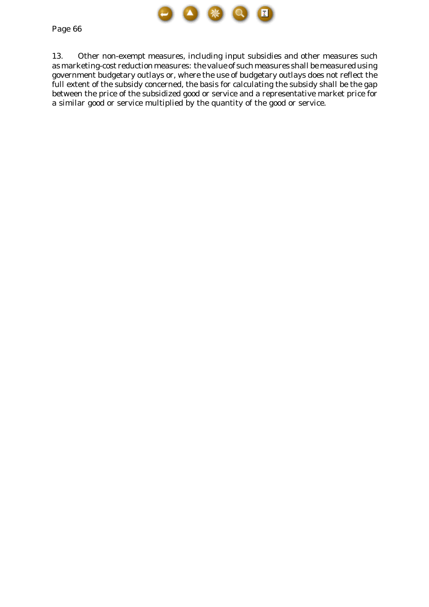

13. Other non-exempt measures, including input subsidies and other measures such as marketing-cost reduction measures: the value of such measures shall be measured using government budgetary outlays or, where the use of budgetary outlays does not reflect the full extent of the subsidy concerned, the basis for calculating the subsidy shall be the gap between the price of the subsidized good or service and a representative market price for a similar good or service multiplied by the quantity of the good or service.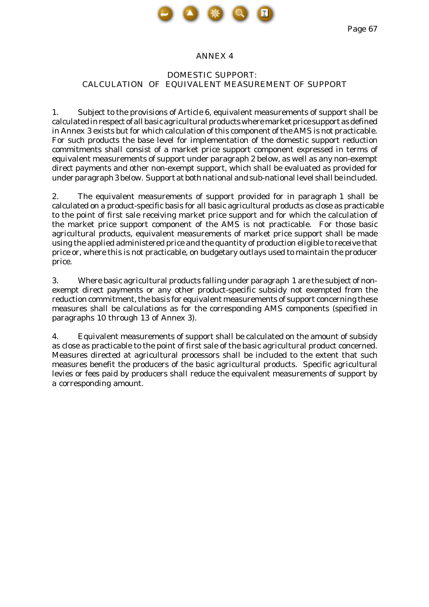

#### ANNEX 4

#### DOMESTIC SUPPORT: CALCULATION OF EQUIVALENT MEASUREMENT OF SUPPORT

1. Subject to the provisions of Article 6, equivalent measurements of support shall be calculated in respect of all basic agricultural products where market price support as defined in Annex 3 exists but for which calculation of this component of the AMS is not practicable. For such products the base level for implementation of the domestic support reduction commitments shall consist of a market price support component expressed in terms of equivalent measurements of support under paragraph 2 below, as well as any non-exempt direct payments and other non-exempt support, which shall be evaluated as provided for under paragraph 3 below. Support at both national and sub-national level shall be included.

2. The equivalent measurements of support provided for in paragraph 1 shall be calculated on a product-specific basis for all basic agricultural products as close as practicable to the point of first sale receiving market price support and for which the calculation of the market price support component of the AMS is not practicable. For those basic agricultural products, equivalent measurements of market price support shall be made using the applied administered price and the quantity of production eligible to receive that price or, where this is not practicable, on budgetary outlays used to maintain the producer price.

3. Where basic agricultural products falling under paragraph 1 are the subject of nonexempt direct payments or any other product-specific subsidy not exempted from the reduction commitment, the basis for equivalent measurements of support concerning these measures shall be calculations as for the corresponding AMS components (specified in paragraphs 10 through 13 of Annex 3).

4. Equivalent measurements of support shall be calculated on the amount of subsidy as close as practicable to the point of first sale of the basic agricultural product concerned. Measures directed at agricultural processors shall be included to the extent that such measures benefit the producers of the basic agricultural products. Specific agricultural levies or fees paid by producers shall reduce the equivalent measurements of support by a corresponding amount.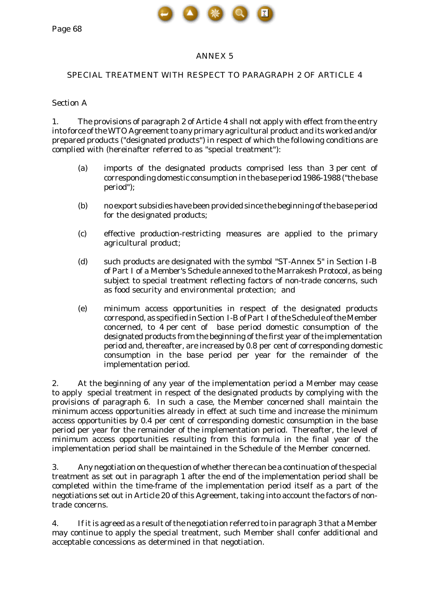

### ANNEX 5

# SPECIAL TREATMENT WITH RESPECT TO PARAGRAPH 2 OF ARTICLE 4

#### *Section A*

1. The provisions of paragraph 2 of Article 4 shall not apply with effect from the entry into force of the WTO Agreement to any primary agricultural product and its worked and/or prepared products ("designated products") in respect of which the following conditions are complied with (hereinafter referred to as "special treatment"):

- (a) imports of the designated products comprised less than 3 per cent of corresponding domestic consumption in the base period 1986-1988 ("the base period");
- (b) no export subsidies have been provided since the beginning of the base period for the designated products;
- (c) effective production-restricting measures are applied to the primary agricultural product;
- (d) such products are designated with the symbol "ST-Annex 5" in Section I-B of Part I of a Member's Schedule annexed to the Marrakesh Protocol, as being subject to special treatment reflecting factors of non-trade concerns, such as food security and environmental protection; and
- (e) minimum access opportunities in respect of the designated products correspond, as specified in Section I-B of Part I of the Schedule of the Member concerned, to 4 per cent of base period domestic consumption of the designated products from the beginning of the first year of the implementation period and, thereafter, are increased by 0.8 per cent of corresponding domestic consumption in the base period per year for the remainder of the implementation period.

2. At the beginning of any year of the implementation period a Member may cease to apply special treatment in respect of the designated products by complying with the provisions of paragraph 6. In such a case, the Member concerned shall maintain the minimum access opportunities already in effect at such time and increase the minimum access opportunities by 0.4 per cent of corresponding domestic consumption in the base period per year for the remainder of the implementation period. Thereafter, the level of minimum access opportunities resulting from this formula in the final year of the implementation period shall be maintained in the Schedule of the Member concerned.

3. Any negotiation on the question of whether there can be a continuation of the special treatment as set out in paragraph 1 after the end of the implementation period shall be completed within the time-frame of the implementation period itself as a part of the negotiations set out in Article 20 of this Agreement, taking into account the factors of nontrade concerns.

4. If it is agreed as a result of the negotiation referred to in paragraph 3 that a Member may continue to apply the special treatment, such Member shall confer additional and acceptable concessions as determined in that negotiation.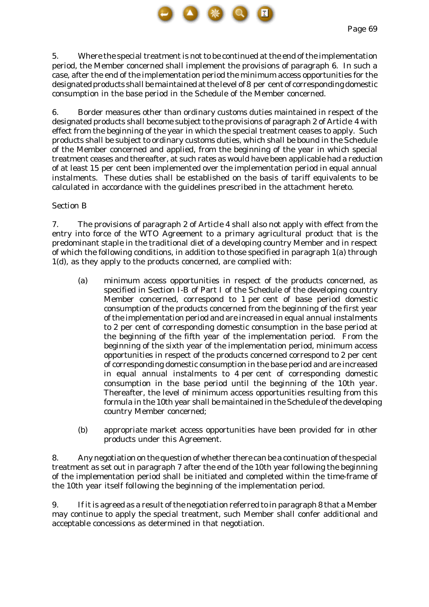

5. Where the special treatment is not to be continued at the end of the implementation period, the Member concerned shall implement the provisions of paragraph 6. In such a case, after the end of the implementation period the minimum access opportunities for the designated products shall be maintained at the level of 8 per cent of corresponding domestic consumption in the base period in the Schedule of the Member concerned.

6. Border measures other than ordinary customs duties maintained in respect of the designated products shall become subject to the provisions of paragraph 2 of Article 4 with effect from the beginning of the year in which the special treatment ceases to apply. Such products shall be subject to ordinary customs duties, which shall be bound in the Schedule of the Member concerned and applied, from the beginning of the year in which special treatment ceases and thereafter, at such rates as would have been applicable had a reduction of at least 15 per cent been implemented over the implementation period in equal annual instalments. These duties shall be established on the basis of tariff equivalents to be calculated in accordance with the guidelines prescribed in the attachment hereto.

### *Section B*

7. The provisions of paragraph 2 of Article 4 shall also not apply with effect from the entry into force of the WTO Agreement to a primary agricultural product that is the predominant staple in the traditional diet of a developing country Member and in respect of which the following conditions, in addition to those specified in paragraph 1(a) through 1(d), as they apply to the products concerned, are complied with:

- (a) minimum access opportunities in respect of the products concerned, as specified in Section I-B of Part I of the Schedule of the developing country Member concerned, correspond to 1 per cent of base period domestic consumption of the products concerned from the beginning of the first year of the implementation period and are increased in equal annual instalments to 2 per cent of corresponding domestic consumption in the base period at the beginning of the fifth year of the implementation period. From the beginning of the sixth year of the implementation period, minimum access opportunities in respect of the products concerned correspond to 2 per cent of corresponding domestic consumption in the base period and are increased in equal annual instalments to 4 per cent of corresponding domestic consumption in the base period until the beginning of the 10th year. Thereafter, the level of minimum access opportunities resulting from this formula in the 10th year shall be maintained in the Schedule of the developing country Member concerned;
- (b) appropriate market access opportunities have been provided for in other products under this Agreement.

8. Any negotiation on the question of whether there can be a continuation of the special treatment as set out in paragraph 7 after the end of the 10th year following the beginning of the implementation period shall be initiated and completed within the time-frame of the 10th year itself following the beginning of the implementation period.

9. If it is agreed as a result of the negotiation referred to in paragraph 8 that a Member may continue to apply the special treatment, such Member shall confer additional and acceptable concessions as determined in that negotiation.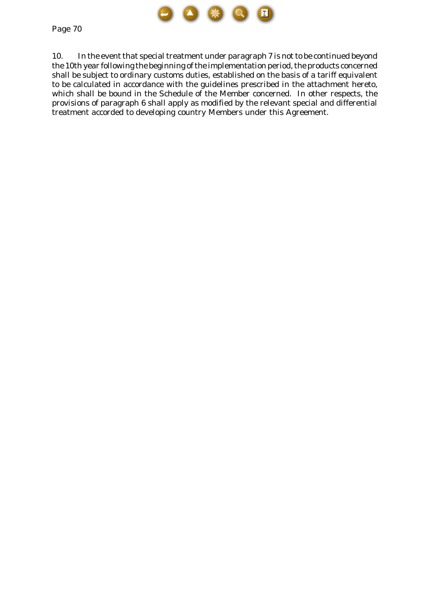

10. In the event that special treatment under paragraph 7 is not to be continued beyond the 10th year following the beginning of the implementation period, the products concerned shall be subject to ordinary customs duties, established on the basis of a tariff equivalent to be calculated in accordance with the guidelines prescribed in the attachment hereto, which shall be bound in the Schedule of the Member concerned. In other respects, the provisions of paragraph 6 shall apply as modified by the relevant special and differential treatment accorded to developing country Members under this Agreement.